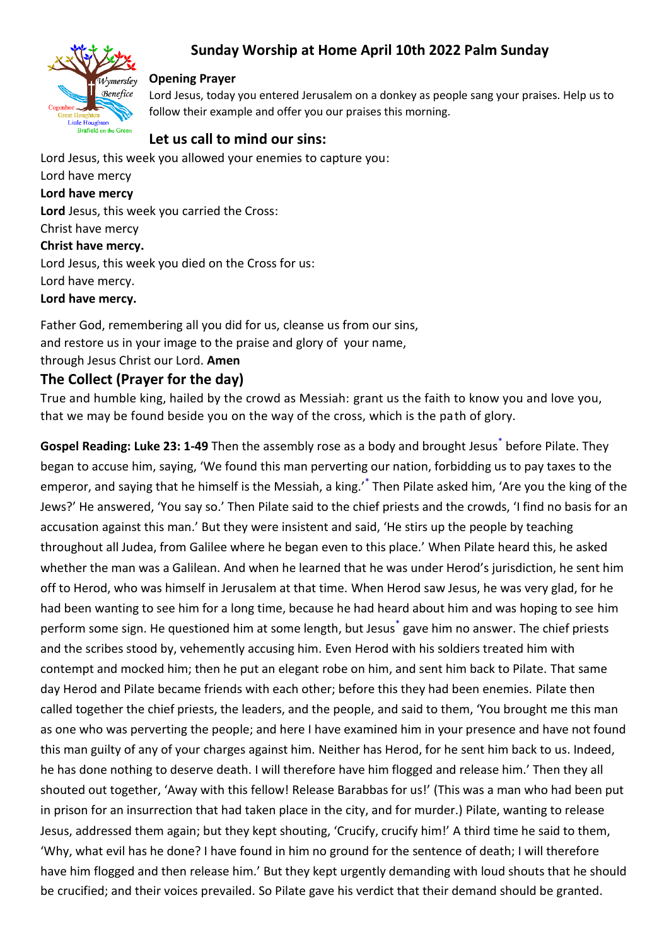

## **Sunday Worship at Home April 10th 2022 Palm Sunday**

#### **Opening Prayer**

Lord Jesus, today you entered Jerusalem on a donkey as people sang your praises. Help us to follow their example and offer you our praises this morning.

### **Let us call to mind our sins:**

Lord Jesus, this week you allowed your enemies to capture you:

Lord have mercy **Lord have mercy** 

**Lord** Jesus, this week you carried the Cross:

#### Christ have mercy **Christ have mercy.**

Lord Jesus, this week you died on the Cross for us:

Lord have mercy.

### **Lord have mercy.**

Father God, remembering all you did for us, cleanse us from our sins, and restore us in your image to the praise and glory of your name, through Jesus Christ our Lord. **Amen** 

## **The Collect (Prayer for the day)**

True and humble king, hailed by the crowd as Messiah: grant us the faith to know you and love you, that we may be found beside you on the way of the cross, which is the path of glory.

Gospel Reading: Luke 23: 1-49 Then the assembly rose as a body and brought Jesus<sup>[\\*](javascript:void(0);)</sup> before Pilate. They began to accuse him, saying, 'We found this man perverting our nation, forbidding us to pay taxes to the emperor, and saying that he himself is the Messiah, a king.'[\\*](javascript:void(0);) Then Pilate asked him, 'Are you the king of the Jews?' He answered, 'You say so.' Then Pilate said to the chief priests and the crowds, 'I find no basis for an accusation against this man.' But they were insistent and said, 'He stirs up the people by teaching throughout all Judea, from Galilee where he began even to this place.' When Pilate heard this, he asked whether the man was a Galilean. And when he learned that he was under Herod's jurisdiction, he sent him off to Herod, who was himself in Jerusalem at that time. When Herod saw Jesus, he was very glad, for he had been wanting to see him for a long time, because he had heard about him and was hoping to see him perform some sign. He questioned him at some length, but Jesus<sup>[\\*](javascript:void(0);)</sup> gave him no answer. The chief priests and the scribes stood by, vehemently accusing him. Even Herod with his soldiers treated him with contempt and mocked him; then he put an elegant robe on him, and sent him back to Pilate. That same day Herod and Pilate became friends with each other; before this they had been enemies. Pilate then called together the chief priests, the leaders, and the people, and said to them, 'You brought me this man as one who was perverting the people; and here I have examined him in your presence and have not found this man guilty of any of your charges against him. Neither has Herod, for he sent him back to us. Indeed, he has done nothing to deserve death. I will therefore have him flogged and release him.' Then they all shouted out together, 'Away with this fellow! Release Barabbas for us!' (This was a man who had been put in prison for an insurrection that had taken place in the city, and for murder.) Pilate, wanting to release Jesus, addressed them again; but they kept shouting, 'Crucify, crucify him!' A third time he said to them, 'Why, what evil has he done? I have found in him no ground for the sentence of death; I will therefore have him flogged and then release him.' But they kept urgently demanding with loud shouts that he should be crucified; and their voices prevailed. So Pilate gave his verdict that their demand should be granted.